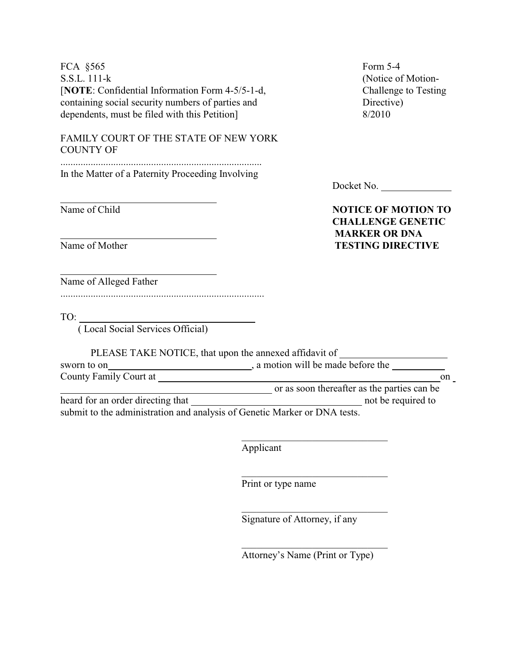| FCA §565<br>S.S.L. 111-k                                                  | Form 5-4<br>(Notice of Motion-                                                   |
|---------------------------------------------------------------------------|----------------------------------------------------------------------------------|
| [NOTE: Confidential Information Form 4-5/5-1-d,                           | Challenge to Testing                                                             |
| containing social security numbers of parties and                         | Directive)                                                                       |
| dependents, must be filed with this Petition]                             | 8/2010                                                                           |
| FAMILY COURT OF THE STATE OF NEW YORK<br><b>COUNTY OF</b>                 |                                                                                  |
| In the Matter of a Paternity Proceeding Involving                         |                                                                                  |
|                                                                           | Docket No.                                                                       |
| Name of Child                                                             | <b>NOTICE OF MOTION TO</b><br><b>CHALLENGE GENETIC</b><br><b>MARKER OR DNA</b>   |
| Name of Mother                                                            | <b>TESTING DIRECTIVE</b>                                                         |
| Name of Alleged Father                                                    |                                                                                  |
|                                                                           |                                                                                  |
| $\begin{tabular}{c} \hline \text{TO:} \end{tabular}$                      |                                                                                  |
| (Local Social Services Official)                                          |                                                                                  |
|                                                                           | PLEASE TAKE NOTICE, that upon the annexed affidavit of _________________________ |
| sworn to on                                                               | a motion will be made before the                                                 |
|                                                                           | on                                                                               |
|                                                                           | or as soon thereafter as the parties can be                                      |
| submit to the administration and analysis of Genetic Marker or DNA tests. |                                                                                  |
|                                                                           |                                                                                  |
|                                                                           |                                                                                  |
|                                                                           | Applicant                                                                        |
|                                                                           | Print or type name                                                               |
|                                                                           |                                                                                  |

Attorney's Name (Print or Type)

Signature of Attorney, if any